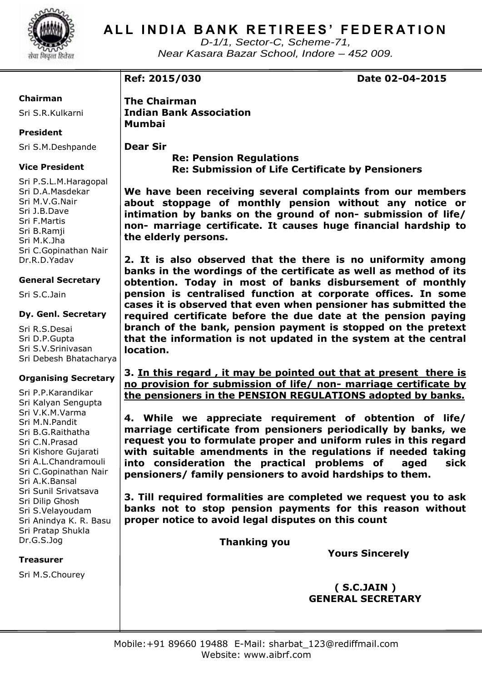

# **ALL INDIA BANK RETIREES' FEDERATION**

*D-1/1, Sector-C, Scheme-71, Near Kasara Bazar School, Indore – 452 009.*

**Ref: 2015/030 Date 02-04-2015** 

### **Chairman**

Sri S.R.Kulkarni

### **President**

Sri S.M.Deshpande

### **Vice President**

Sri P.S.L.M.Haragopal Sri D.A.Masdekar Sri M.V.G.Nair Sri J.B.Dave Sri F.Martis Sri B.Ramji Sri M.K.Jha Sri C.Gopinathan Nair Dr.R.D.Yadav

### **General Secretary**

Sri S.C.Jain

### **Dy. Genl. Secretary**

Sri R.S.Desai Sri D.P.Gupta Sri S.V.Srinivasan Sri Debesh Bhatacharya

### **Organising Secretary**

Sri P.P.Karandikar Sri Kalyan Sengupta Sri V.K.M.Varma Sri M.N.Pandit Sri B.G.Raithatha Sri C.N.Prasad Sri Kishore Gujarati Sri A.L.Chandramouli Sri C.Gopinathan Nair Sri A.K.Bansal Sri Sunil Srivatsava Sri Dilip Ghosh Sri S.Velayoudam Sri Anindya K. R. Basu Sri Pratap Shukla Dr.G.S.Jog

#### **Treasurer**

Sri M.S.Chourey

**The Chairman Indian Bank Association Mumbai**

**Dear Sir**

 **Re: Pension Regulations Re: Submission of Life Certificate by Pensioners**

**We have been receiving several complaints from our members about stoppage of monthly pension without any notice or intimation by banks on the ground of non- submission of life/ non- marriage certificate. It causes huge financial hardship to the elderly persons.** 

**2. It is also observed that the there is no uniformity among banks in the wordings of the certificate as well as method of its obtention. Today in most of banks disbursement of monthly pension is centralised function at corporate offices. In some cases it is observed that even when pensioner has submitted the required certificate before the due date at the pension paying branch of the bank, pension payment is stopped on the pretext that the information is not updated in the system at the central location.**

**3. In this regard , it may be pointed out that at present there is no provision for submission of life/ non- marriage certificate by the pensioners in the PENSION REGULATIONS adopted by banks.**

**4. While we appreciate requirement of obtention of life/ marriage certificate from pensioners periodically by banks, we request you to formulate proper and uniform rules in this regard with suitable amendments in the regulations if needed taking into consideration the practical problems of aged sick pensioners/ family pensioners to avoid hardships to them.**

**3. Till required formalities are completed we request you to ask banks not to stop pension payments for this reason without proper notice to avoid legal disputes on this count**

 **Thanking you**

 **Yours Sincerely**

 **( S.C.JAIN ) GENERAL SECRETARY**